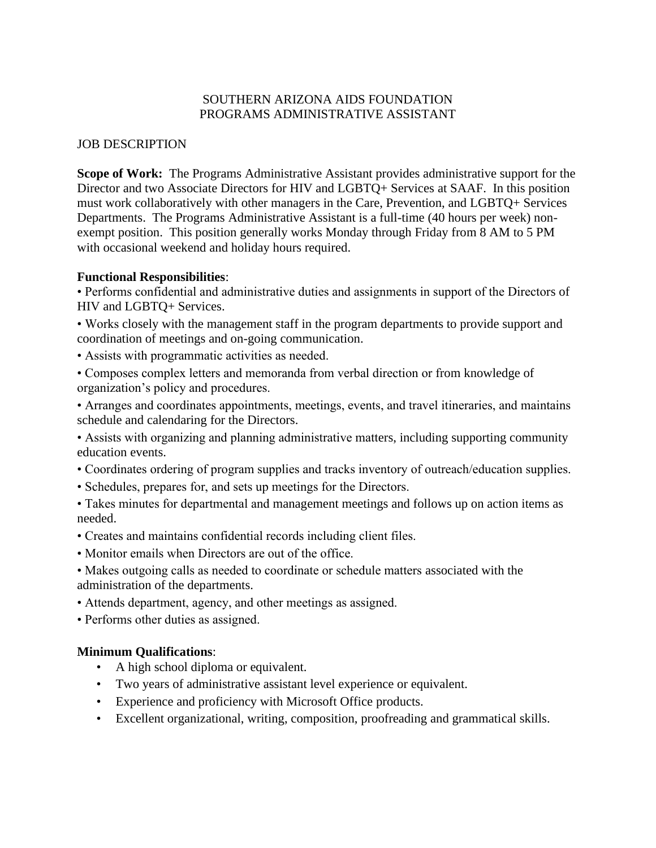### SOUTHERN ARIZONA AIDS FOUNDATION PROGRAMS ADMINISTRATIVE ASSISTANT

### JOB DESCRIPTION

**Scope of Work:** The Programs Administrative Assistant provides administrative support for the Director and two Associate Directors for HIV and LGBTQ+ Services at SAAF. In this position must work collaboratively with other managers in the Care, Prevention, and LGBTQ+ Services Departments. The Programs Administrative Assistant is a full-time (40 hours per week) nonexempt position. This position generally works Monday through Friday from 8 AM to 5 PM with occasional weekend and holiday hours required.

### **Functional Responsibilities**:

• Performs confidential and administrative duties and assignments in support of the Directors of HIV and LGBTQ+ Services.

• Works closely with the management staff in the program departments to provide support and coordination of meetings and on-going communication.

• Assists with programmatic activities as needed.

• Composes complex letters and memoranda from verbal direction or from knowledge of organization's policy and procedures.

• Arranges and coordinates appointments, meetings, events, and travel itineraries, and maintains schedule and calendaring for the Directors.

• Assists with organizing and planning administrative matters, including supporting community education events.

• Coordinates ordering of program supplies and tracks inventory of outreach/education supplies.

• Schedules, prepares for, and sets up meetings for the Directors.

• Takes minutes for departmental and management meetings and follows up on action items as needed.

- Creates and maintains confidential records including client files.
- Monitor emails when Directors are out of the office.
- Makes outgoing calls as needed to coordinate or schedule matters associated with the administration of the departments.
- Attends department, agency, and other meetings as assigned.
- Performs other duties as assigned.

# **Minimum Qualifications**:

- A high school diploma or equivalent.
- Two years of administrative assistant level experience or equivalent.
- Experience and proficiency with Microsoft Office products.
- Excellent organizational, writing, composition, proofreading and grammatical skills.